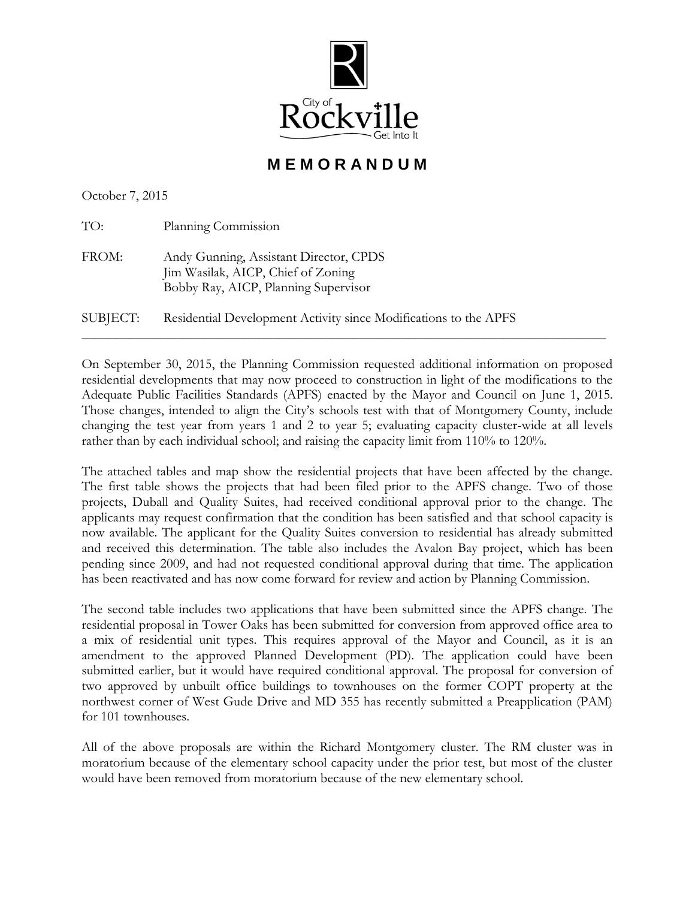

**M E M O R A N D U M** 

October 7, 2015

| TO:      | Planning Commission                                                                                                  |
|----------|----------------------------------------------------------------------------------------------------------------------|
| FROM:    | Andy Gunning, Assistant Director, CPDS<br>Jim Wasilak, AICP, Chief of Zoning<br>Bobby Ray, AICP, Planning Supervisor |
| SUBJECT: | Residential Development Activity since Modifications to the APFS                                                     |

On September 30, 2015, the Planning Commission requested additional information on proposed residential developments that may now proceed to construction in light of the modifications to the Adequate Public Facilities Standards (APFS) enacted by the Mayor and Council on June 1, 2015. Those changes, intended to align the City's schools test with that of Montgomery County, include changing the test year from years 1 and 2 to year 5; evaluating capacity cluster-wide at all levels rather than by each individual school; and raising the capacity limit from 110% to 120%.

The attached tables and map show the residential projects that have been affected by the change. The first table shows the projects that had been filed prior to the APFS change. Two of those projects, Duball and Quality Suites, had received conditional approval prior to the change. The applicants may request confirmation that the condition has been satisfied and that school capacity is now available. The applicant for the Quality Suites conversion to residential has already submitted and received this determination. The table also includes the Avalon Bay project, which has been pending since 2009, and had not requested conditional approval during that time. The application has been reactivated and has now come forward for review and action by Planning Commission.

The second table includes two applications that have been submitted since the APFS change. The residential proposal in Tower Oaks has been submitted for conversion from approved office area to a mix of residential unit types. This requires approval of the Mayor and Council, as it is an amendment to the approved Planned Development (PD). The application could have been submitted earlier, but it would have required conditional approval. The proposal for conversion of two approved by unbuilt office buildings to townhouses on the former COPT property at the northwest corner of West Gude Drive and MD 355 has recently submitted a Preapplication (PAM) for 101 townhouses.

All of the above proposals are within the Richard Montgomery cluster. The RM cluster was in moratorium because of the elementary school capacity under the prior test, but most of the cluster would have been removed from moratorium because of the new elementary school.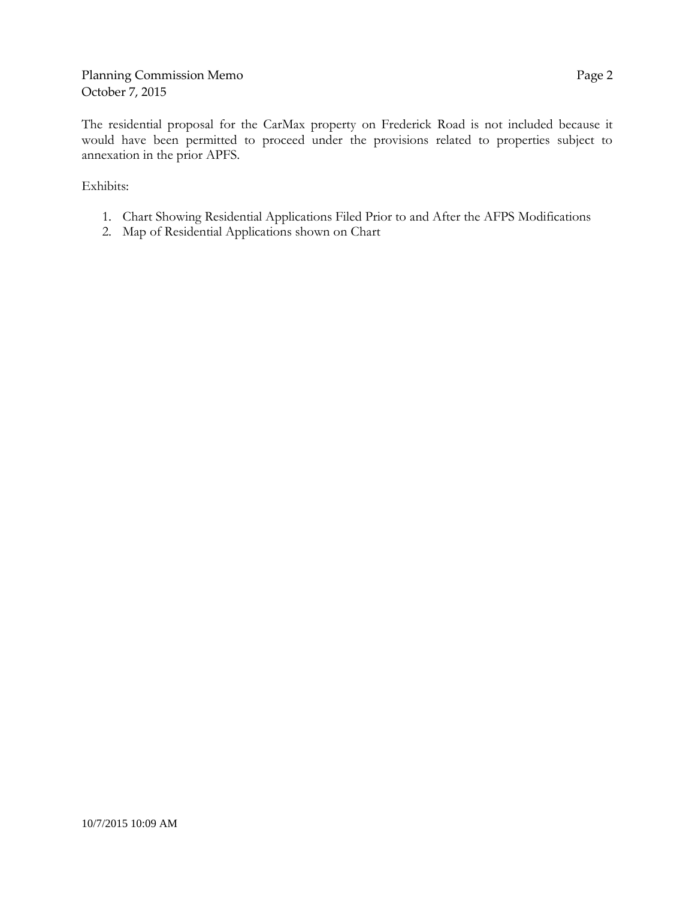The residential proposal for the CarMax property on Frederick Road is not included because it would have been permitted to proceed under the provisions related to properties subject to annexation in the prior APFS.

Exhibits:

- 1. Chart Showing Residential Applications Filed Prior to and After the AFPS Modifications
- 2. Map of Residential Applications shown on Chart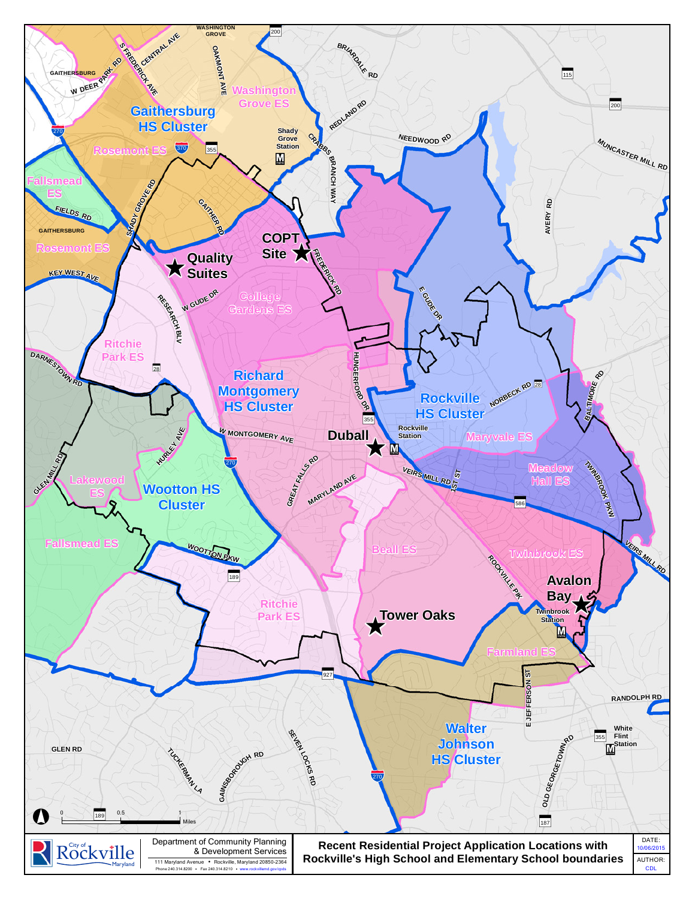